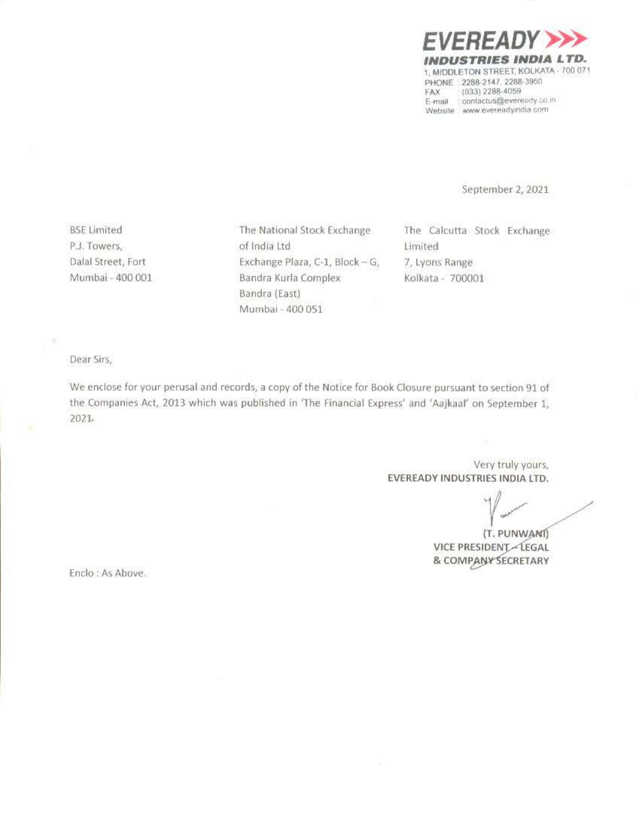

September 2, 2021

**BSE Limited** P.J. Towers, Dalal Street, Fort Mumbai - 400 001 The National Stock Exchange of India Ltd Exchange Plaza, C-1, Block - G, Bandra Kurla Complex Bandra (East) Mumbai - 400 051

The Calcutta Stock Exchange Limited 7, Lyons Range Kolkata - 700001

## Dear Sirs,

We enclose for your perusal and records, a copy of the Notice for Book Closure pursuant to section 91 of the Companies Act, 2013 which was published in 'The Financial Express' and 'Aajkaal' on September 1, 2021

> Very truly yours, EVEREADY INDUSTRIES INDIA LTD.

(T. PUNWANI) VICE PRESIDENT-LEGAL **& COMPANY SECRETARY** 

Enclo: As Above.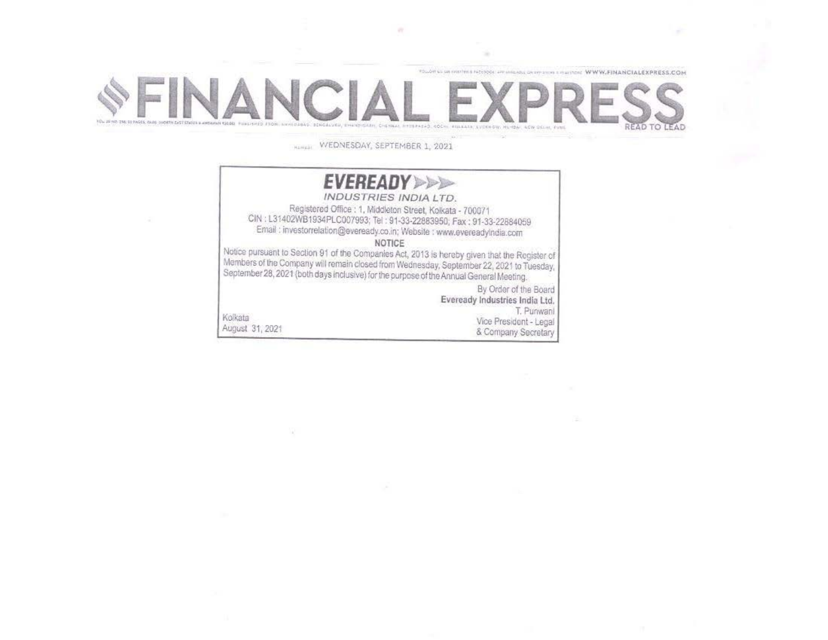CHENNA RYDERASAD, GOCHI PRILEASA EUCENCH, MUNDAI ACW OF MUNICIPE WEDNESDAY, SEPTEMBER 1, 2021

## **EVEREADY** INDUSTRIES INDIA LTD. Registered Office : 1, Middleton Street, Kolkata - 700071

CIN: L31402WB1934PLC007993; Tel: 91-33-22883950; Fax: 91-33-22884059 Email: investorrelation@eveready.co.in; Website : www.evereadyindia.com **NOTICE** 

Notice pursuant to Section 91 of the Companies Act, 2013 is hereby given that the Register of Members of the Company will remain closed from Wednesday, September 22, 2021 to Tuesday, September 28, 2021 (both days inclusive) for the purpose of the Annual General Meeting.

Kolkata

August 31, 2021

By Order of the Board Eveready Industries India Ltd. T. Punwani Vice President - Legal & Company Secretary

FOLLOW & DISTURBANCE ROOM ARE DESPESSED A PACTOR WWW.FINANCIALEXPRESS.COM